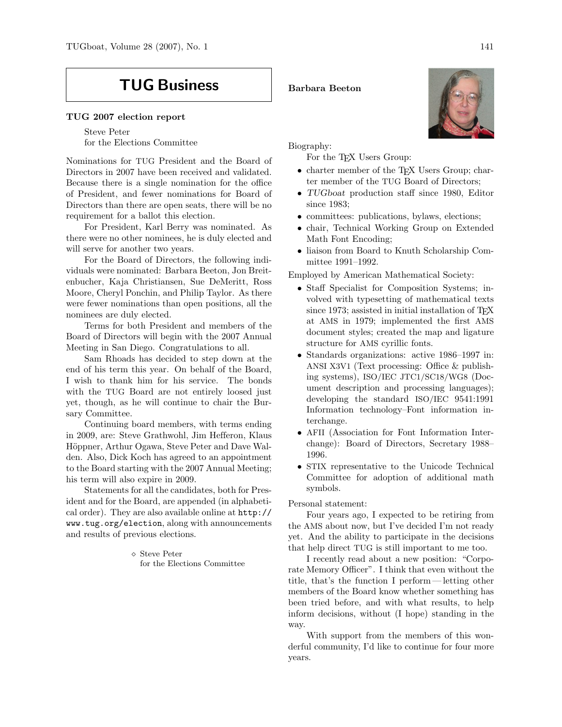# TUG Business

### TUG 2007 election report

Steve Peter for the Elections Committee

Nominations for TUG President and the Board of Directors in 2007 have been received and validated. Because there is a single nomination for the office of President, and fewer nominations for Board of Directors than there are open seats, there will be no requirement for a ballot this election.

For President, Karl Berry was nominated. As there were no other nominees, he is duly elected and will serve for another two years.

For the Board of Directors, the following individuals were nominated: Barbara Beeton, Jon Breitenbucher, Kaja Christiansen, Sue DeMeritt, Ross Moore, Cheryl Ponchin, and Philip Taylor. As there were fewer nominations than open positions, all the nominees are duly elected.

Terms for both President and members of the Board of Directors will begin with the 2007 Annual Meeting in San Diego. Congratulations to all.

Sam Rhoads has decided to step down at the end of his term this year. On behalf of the Board, I wish to thank him for his service. The bonds with the TUG Board are not entirely loosed just yet, though, as he will continue to chair the Bursary Committee.

Continuing board members, with terms ending in 2009, are: Steve Grathwohl, Jim Hefferon, Klaus Höppner, Arthur Ogawa, Steve Peter and Dave Walden. Also, Dick Koch has agreed to an appointment to the Board starting with the 2007 Annual Meeting; his term will also expire in 2009.

Statements for all the candidates, both for President and for the Board, are appended (in alphabetical order). They are also available online at http:// www.tug.org/election, along with announcements and results of previous elections.

> Steve Peter for the Elections Committee

#### Barbara Beeton

Biography:

For the T<sub>F</sub>X Users Group:

- charter member of the T<sub>E</sub>X Users Group; charter member of the TUG Board of Directors;
- TUGboat production staff since 1980, Editor since 1983;
- committees: publications, bylaws, elections;
- chair, Technical Working Group on Extended Math Font Encoding;
- liaison from Board to Knuth Scholarship Committee 1991–1992.

Employed by American Mathematical Society:

- Staff Specialist for Composition Systems; involved with typesetting of mathematical texts since 1973; assisted in initial installation of  $T_F X$ at AMS in 1979; implemented the first AMS document styles; created the map and ligature structure for AMS cyrillic fonts.
- Standards organizations: active 1986–1997 in: ANSI X3V1 (Text processing: Office & publishing systems), ISO/IEC JTC1/SC18/WG8 (Document description and processing languages); developing the standard ISO/IEC 9541:1991 Information technology–Font information interchange.
- AFII (Association for Font Information Interchange): Board of Directors, Secretary 1988– 1996.
- STIX representative to the Unicode Technical Committee for adoption of additional math symbols.

## Personal statement:

Four years ago, I expected to be retiring from the AMS about now, but I've decided I'm not ready yet. And the ability to participate in the decisions that help direct TUG is still important to me too.

I recently read about a new position: "Corporate Memory Officer". I think that even without the title, that's the function I perform — letting other members of the Board know whether something has been tried before, and with what results, to help inform decisions, without (I hope) standing in the way.

With support from the members of this wonderful community, I'd like to continue for four more years.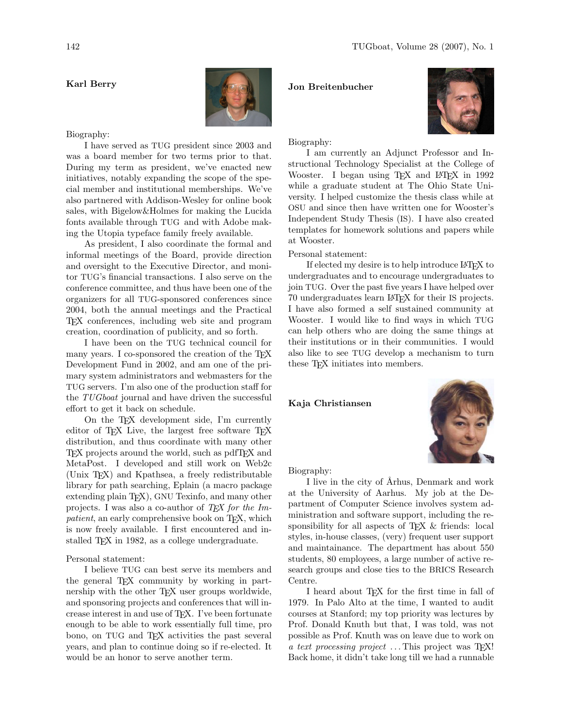# Karl Berry



#### Biography:

I have served as TUG president since 2003 and was a board member for two terms prior to that. During my term as president, we've enacted new initiatives, notably expanding the scope of the special member and institutional memberships. We've also partnered with Addison-Wesley for online book sales, with Bigelow&Holmes for making the Lucida fonts available through TUG and with Adobe making the Utopia typeface family freely available.

As president, I also coordinate the formal and informal meetings of the Board, provide direction and oversight to the Executive Director, and monitor TUG's financial transactions. I also serve on the conference committee, and thus have been one of the organizers for all TUG-sponsored conferences since 2004, both the annual meetings and the Practical TEX conferences, including web site and program creation, coordination of publicity, and so forth.

I have been on the TUG technical council for many years. I co-sponsored the creation of the TFX Development Fund in 2002, and am one of the primary system administrators and webmasters for the TUG servers. I'm also one of the production staff for the TUG boat journal and have driven the successful effort to get it back on schedule.

On the TEX development side, I'm currently editor of T<sub>F</sub>X Live, the largest free software T<sub>F</sub>X distribution, and thus coordinate with many other TEX projects around the world, such as pdfTEX and MetaPost. I developed and still work on Web2c (Unix TEX) and Kpathsea, a freely redistributable library for path searching, Eplain (a macro package extending plain T<sub>EX</sub>), GNU Texinfo, and many other projects. I was also a co-author of  $T \n F X$  for the Impatient, an early comprehensive book on T<sub>E</sub>X, which is now freely available. I first encountered and installed TFX in 1982, as a college undergraduate.

Personal statement:

I believe TUG can best serve its members and the general T<sub>EX</sub> community by working in partnership with the other TEX user groups worldwide, and sponsoring projects and conferences that will increase interest in and use of TEX. I've been fortunate enough to be able to work essentially full time, pro bono, on TUG and TEX activities the past several years, and plan to continue doing so if re-elected. It would be an honor to serve another term.

#### Jon Breitenbucher



Biography:

I am currently an Adjunct Professor and Instructional Technology Specialist at the College of Wooster. I began using T<sub>E</sub>X and L<sup>AT</sup>E<sub>X</sub> in 1992 while a graduate student at The Ohio State University. I helped customize the thesis class while at OSU and since then have written one for Wooster's Independent Study Thesis (IS). I have also created templates for homework solutions and papers while at Wooster.

Personal statement:

If elected my desire is to help introduce LATEX to undergraduates and to encourage undergraduates to join TUG. Over the past five years I have helped over 70 undergraduates learn LATEX for their IS projects. I have also formed a self sustained community at Wooster. I would like to find ways in which TUG can help others who are doing the same things at their institutions or in their communities. I would also like to see TUG develop a mechanism to turn these TEX initiates into members.

## Kaja Christiansen



Biography:

I live in the city of Århus, Denmark and work at the University of Aarhus. My job at the Department of Computer Science involves system administration and software support, including the responsibility for all aspects of T<sub>E</sub>X & friends: local styles, in-house classes, (very) frequent user support and maintainance. The department has about 550 students, 80 employees, a large number of active research groups and close ties to the BRICS Research Centre.

I heard about TEX for the first time in fall of 1979. In Palo Alto at the time, I wanted to audit courses at Stanford; my top priority was lectures by Prof. Donald Knuth but that, I was told, was not possible as Prof. Knuth was on leave due to work on a text processing project  $\ldots$  This project was TFX! Back home, it didn't take long till we had a runnable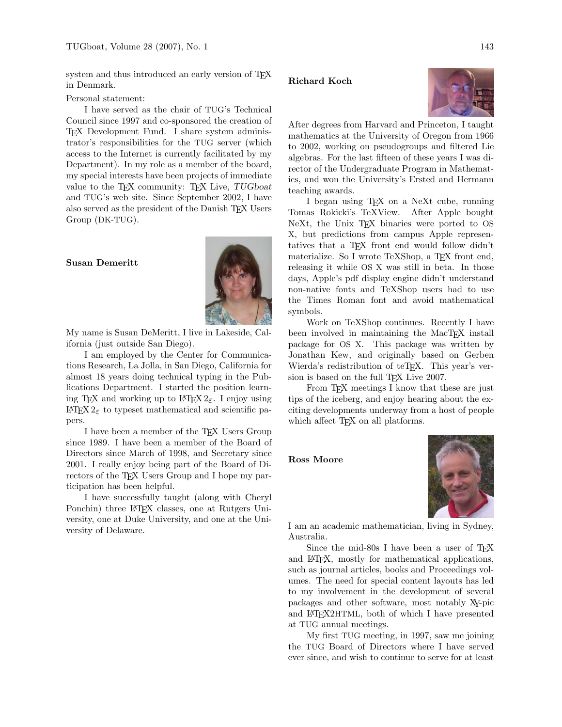system and thus introduced an early version of TEX in Denmark.

Personal statement:

I have served as the chair of TUG's Technical Council since 1997 and co-sponsored the creation of TEX Development Fund. I share system administrator's responsibilities for the TUG server (which access to the Internet is currently facilitated by my Department). In my role as a member of the board, my special interests have been projects of immediate value to the TFX community: TFX Live, TUGboat and TUG's web site. Since September 2002, I have also served as the president of the Danish TEX Users Group (DK-TUG).

# Susan Demeritt



My name is Susan DeMeritt, I live in Lakeside, California (just outside San Diego).

I am employed by the Center for Communications Research, La Jolla, in San Diego, California for almost 18 years doing technical typing in the Publications Department. I started the position learning TEX and working up to L<sup>AT</sup>EX 2<sub>ε</sub>. I enjoy using  $\mathbb{F}\to \mathbb{F}$  to type<br>set mathematical and scientific papers.

I have been a member of the T<sub>E</sub>X Users Group since 1989. I have been a member of the Board of Directors since March of 1998, and Secretary since 2001. I really enjoy being part of the Board of Directors of the T<sub>E</sub>X Users Group and I hope my participation has been helpful.

I have successfully taught (along with Cheryl Ponchin) three LAT<sub>EX</sub> classes, one at Rutgers University, one at Duke University, and one at the University of Delaware.

# Richard Koch



After degrees from Harvard and Princeton, I taught mathematics at the University of Oregon from 1966 to 2002, working on pseudogroups and filtered Lie algebras. For the last fifteen of these years I was director of the Undergraduate Program in Mathematics, and won the University's Ersted and Hermann teaching awards.

I began using TEX on a NeXt cube, running Tomas Rokicki's TeXView. After Apple bought NeXt, the Unix T<sub>EX</sub> binaries were ported to OS X, but predictions from campus Apple representatives that a TEX front end would follow didn't materialize. So I wrote TeXShop, a TFX front end, releasing it while OS X was still in beta. In those days, Apple's pdf display engine didn't understand non-native fonts and TeXShop users had to use the Times Roman font and avoid mathematical symbols.

Work on TeXShop continues. Recently I have been involved in maintaining the MacTEX install package for OS X. This package was written by Jonathan Kew, and originally based on Gerben Wierda's redistribution of teT<sub>F</sub>X. This year's version is based on the full T<sub>EX</sub> Live 2007.

From T<sub>E</sub>X meetings I know that these are just tips of the iceberg, and enjoy hearing about the exciting developments underway from a host of people which affect T<sub>EX</sub> on all platforms.

Ross Moore



I am an academic mathematician, living in Sydney, Australia.

Since the mid-80s I have been a user of T<sub>E</sub>X and LATEX, mostly for mathematical applications, such as journal articles, books and Proceedings volumes. The need for special content layouts has led to my involvement in the development of several packages and other software, most notably XY-pic and LATEX2HTML, both of which I have presented at TUG annual meetings.

My first TUG meeting, in 1997, saw me joining the TUG Board of Directors where I have served ever since, and wish to continue to serve for at least